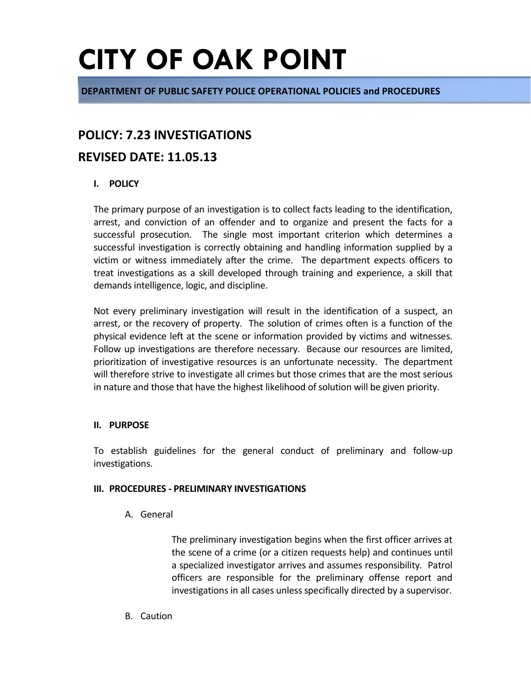**DEPARTMENT OF PUBLIC SAFETY POLICE OPERATIONAL POLICIES and PROCEDURES**

### **POLICY: 7.23 INVESTIGATIONS**

### **REVISED DATE: 11.05.13**

#### **I. POLICY**

The primary purpose of an investigation is to collect facts leading to the identification, arrest, and conviction of an offender and to organize and present the facts for a successful prosecution. The single most important criterion which determines a successful investigation is correctly obtaining and handling information supplied by a victim or witness immediately after the crime. The department expects officers to treat investigations as a skill developed through training and experience, a skill that demands intelligence, logic, and discipline.

Not every preliminary investigation will result in the identification of a suspect, an arrest, or the recovery of property. The solution of crimes often is a function of the physical evidence left at the scene or information provided by victims and witnesses. Follow up investigations are therefore necessary. Because our resources are limited, prioritization of investigative resources is an unfortunate necessity. The department will therefore strive to investigate all crimes but those crimes that are the most serious in nature and those that have the highest likelihood of solution will be given priority.

#### **II. PURPOSE**

To establish guidelines for the general conduct of preliminary and follow-up investigations.

#### **III. PROCEDURES - PRELIMINARY INVESTIGATIONS**

A. General

The preliminary investigation begins when the first officer arrives at the scene of a crime (or a citizen requests help) and continues until a specialized investigator arrives and assumes responsibility. Patrol officers are responsible for the preliminary offense report and investigations in all cases unless specifically directed by a supervisor.

B. Caution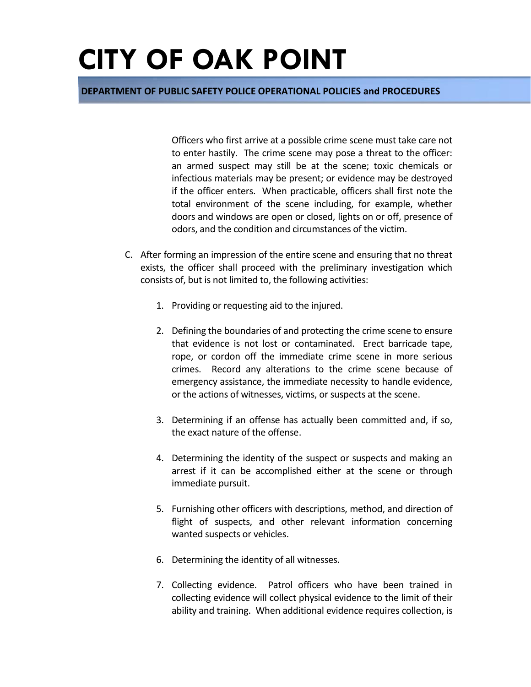#### **DEPARTMENT OF PUBLIC SAFETY POLICE OPERATIONAL POLICIES and PROCEDURES**

Officers who first arrive at a possible crime scene must take care not to enter hastily. The crime scene may pose a threat to the officer: an armed suspect may still be at the scene; toxic chemicals or infectious materials may be present; or evidence may be destroyed if the officer enters. When practicable, officers shall first note the total environment of the scene including, for example, whether doors and windows are open or closed, lights on or off, presence of odors, and the condition and circumstances of the victim.

- C. After forming an impression of the entire scene and ensuring that no threat exists, the officer shall proceed with the preliminary investigation which consists of, but is not limited to, the following activities:
	- 1. Providing or requesting aid to the injured.
	- 2. Defining the boundaries of and protecting the crime scene to ensure that evidence is not lost or contaminated. Erect barricade tape, rope, or cordon off the immediate crime scene in more serious crimes. Record any alterations to the crime scene because of emergency assistance, the immediate necessity to handle evidence, or the actions of witnesses, victims, or suspects at the scene.
	- 3. Determining if an offense has actually been committed and, if so, the exact nature of the offense.
	- 4. Determining the identity of the suspect or suspects and making an arrest if it can be accomplished either at the scene or through immediate pursuit.
	- 5. Furnishing other officers with descriptions, method, and direction of flight of suspects, and other relevant information concerning wanted suspects or vehicles.
	- 6. Determining the identity of all witnesses.
	- 7. Collecting evidence. Patrol officers who have been trained in collecting evidence will collect physical evidence to the limit of their ability and training. When additional evidence requires collection, is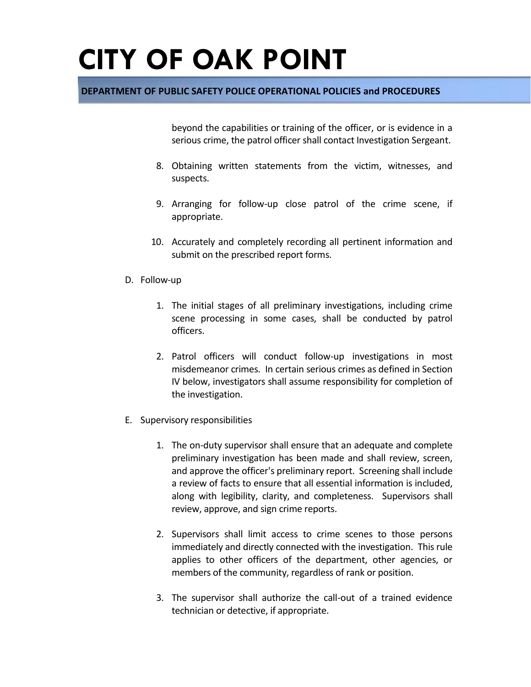#### **DEPARTMENT OF PUBLIC SAFETY POLICE OPERATIONAL POLICIES and PROCEDURES**

beyond the capabilities or training of the officer, or is evidence in a serious crime, the patrol officer shall contact Investigation Sergeant.

- 8. Obtaining written statements from the victim, witnesses, and suspects.
- 9. Arranging for follow-up close patrol of the crime scene, if appropriate.
- 10. Accurately and completely recording all pertinent information and submit on the prescribed report forms.
- D. Follow-up
	- 1. The initial stages of all preliminary investigations, including crime scene processing in some cases, shall be conducted by patrol officers.
	- 2. Patrol officers will conduct follow-up investigations in most misdemeanor crimes. In certain serious crimes as defined in Section IV below, investigators shall assume responsibility for completion of the investigation.
- E. Supervisory responsibilities
	- 1. The on-duty supervisor shall ensure that an adequate and complete preliminary investigation has been made and shall review, screen, and approve the officer's preliminary report. Screening shall include a review of facts to ensure that all essential information is included, along with legibility, clarity, and completeness. Supervisors shall review, approve, and sign crime reports.
	- 2. Supervisors shall limit access to crime scenes to those persons immediately and directly connected with the investigation. This rule applies to other officers of the department, other agencies, or members of the community, regardless of rank or position.
	- 3. The supervisor shall authorize the call-out of a trained evidence technician or detective, if appropriate.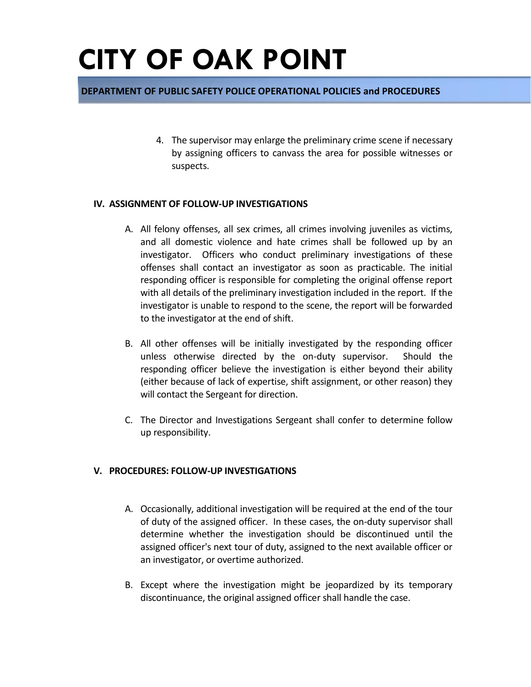#### **DEPARTMENT OF PUBLIC SAFETY POLICE OPERATIONAL POLICIES and PROCEDURES**

4. The supervisor may enlarge the preliminary crime scene if necessary by assigning officers to canvass the area for possible witnesses or suspects.

#### **IV. ASSIGNMENT OF FOLLOW-UP INVESTIGATIONS**

- A. All felony offenses, all sex crimes, all crimes involving juveniles as victims, and all domestic violence and hate crimes shall be followed up by an investigator. Officers who conduct preliminary investigations of these offenses shall contact an investigator as soon as practicable. The initial responding officer is responsible for completing the original offense report with all details of the preliminary investigation included in the report. If the investigator is unable to respond to the scene, the report will be forwarded to the investigator at the end of shift.
- B. All other offenses will be initially investigated by the responding officer unless otherwise directed by the on-duty supervisor. Should the responding officer believe the investigation is either beyond their ability (either because of lack of expertise, shift assignment, or other reason) they will contact the Sergeant for direction.
- C. The Director and Investigations Sergeant shall confer to determine follow up responsibility.

#### **V. PROCEDURES: FOLLOW-UP INVESTIGATIONS**

- A. Occasionally, additional investigation will be required at the end of the tour of duty of the assigned officer. In these cases, the on-duty supervisor shall determine whether the investigation should be discontinued until the assigned officer's next tour of duty, assigned to the next available officer or an investigator, or overtime authorized.
- B. Except where the investigation might be jeopardized by its temporary discontinuance, the original assigned officer shall handle the case.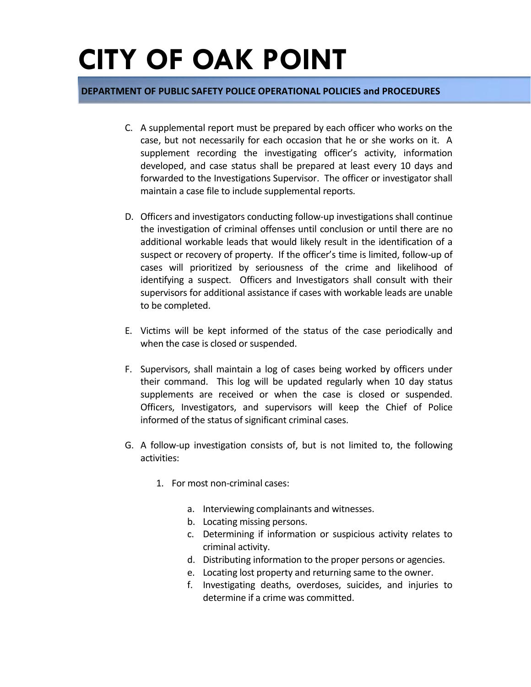- C. A supplemental report must be prepared by each officer who works on the case, but not necessarily for each occasion that he or she works on it. A supplement recording the investigating officer's activity, information developed, and case status shall be prepared at least every 10 days and forwarded to the Investigations Supervisor. The officer or investigator shall maintain a case file to include supplemental reports.
- D. Officers and investigators conducting follow-up investigations shall continue the investigation of criminal offenses until conclusion or until there are no additional workable leads that would likely result in the identification of a suspect or recovery of property. If the officer's time is limited, follow-up of cases will prioritized by seriousness of the crime and likelihood of identifying a suspect. Officers and Investigators shall consult with their supervisors for additional assistance if cases with workable leads are unable to be completed.
- E. Victims will be kept informed of the status of the case periodically and when the case is closed or suspended.
- F. Supervisors, shall maintain a log of cases being worked by officers under their command. This log will be updated regularly when 10 day status supplements are received or when the case is closed or suspended. Officers, Investigators, and supervisors will keep the Chief of Police informed of the status of significant criminal cases.
- G. A follow-up investigation consists of, but is not limited to, the following activities:
	- 1. For most non-criminal cases:
		- a. Interviewing complainants and witnesses.
		- b. Locating missing persons.
		- c. Determining if information or suspicious activity relates to criminal activity.
		- d. Distributing information to the proper persons or agencies.
		- e. Locating lost property and returning same to the owner.
		- f. Investigating deaths, overdoses, suicides, and injuries to determine if a crime was committed.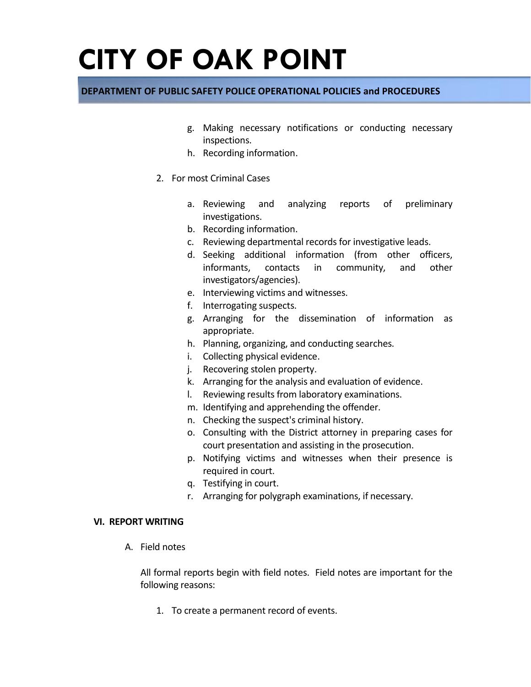#### **DEPARTMENT OF PUBLIC SAFETY POLICE OPERATIONAL POLICIES and PROCEDURES**

- g. Making necessary notifications or conducting necessary inspections.
- h. Recording information.
- 2. For most Criminal Cases
	- a. Reviewing and analyzing reports of preliminary investigations.
	- b. Recording information.
	- c. Reviewing departmental records for investigative leads.
	- d. Seeking additional information (from other officers, informants, contacts in community, and other investigators/agencies).
	- e. Interviewing victims and witnesses.
	- f. Interrogating suspects.
	- g. Arranging for the dissemination of information as appropriate.
	- h. Planning, organizing, and conducting searches.
	- i. Collecting physical evidence.
	- j. Recovering stolen property.
	- k. Arranging for the analysis and evaluation of evidence.
	- l. Reviewing results from laboratory examinations.
	- m. Identifying and apprehending the offender.
	- n. Checking the suspect's criminal history.
	- o. Consulting with the District attorney in preparing cases for court presentation and assisting in the prosecution.
	- p. Notifying victims and witnesses when their presence is required in court.
	- q. Testifying in court.
	- r. Arranging for polygraph examinations, if necessary.

#### **VI. REPORT WRITING**

A. Field notes

All formal reports begin with field notes. Field notes are important for the following reasons:

1. To create a permanent record of events.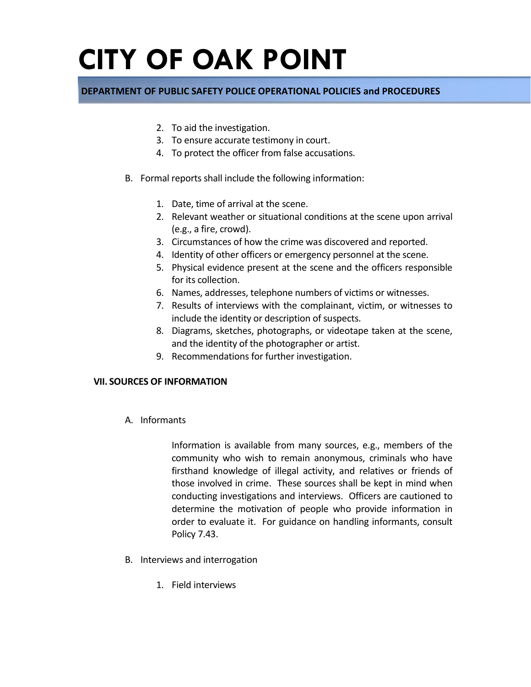#### **DEPARTMENT OF PUBLIC SAFETY POLICE OPERATIONAL POLICIES and PROCEDURES**

- 2. To aid the investigation.
- 3. To ensure accurate testimony in court.
- 4. To protect the officer from false accusations.
- B. Formal reports shall include the following information:
	- 1. Date, time of arrival at the scene.
	- 2. Relevant weather or situational conditions at the scene upon arrival (e.g., a fire, crowd).
	- 3. Circumstances of how the crime was discovered and reported.
	- 4. Identity of other officers or emergency personnel at the scene.
	- 5. Physical evidence present at the scene and the officers responsible for its collection.
	- 6. Names, addresses, telephone numbers of victims or witnesses.
	- 7. Results of interviews with the complainant, victim, or witnesses to include the identity or description of suspects.
	- 8. Diagrams, sketches, photographs, or videotape taken at the scene, and the identity of the photographer or artist.
	- 9. Recommendations for further investigation.

#### **VII. SOURCES OF INFORMATION**

A. Informants

Information is available from many sources, e.g., members of the community who wish to remain anonymous, criminals who have firsthand knowledge of illegal activity, and relatives or friends of those involved in crime. These sources shall be kept in mind when conducting investigations and interviews. Officers are cautioned to determine the motivation of people who provide information in order to evaluate it. For guidance on handling informants, consult Policy 7.43.

- B. Interviews and interrogation
	- 1. Field interviews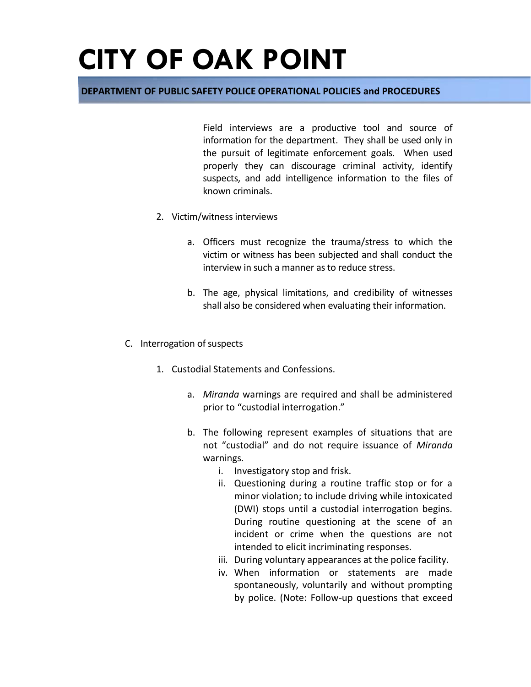#### **DEPARTMENT OF PUBLIC SAFETY POLICE OPERATIONAL POLICIES and PROCEDURES**

Field interviews are a productive tool and source of information for the department. They shall be used only in the pursuit of legitimate enforcement goals. When used properly they can discourage criminal activity, identify suspects, and add intelligence information to the files of known criminals.

- 2. Victim/witness interviews
	- a. Officers must recognize the trauma/stress to which the victim or witness has been subjected and shall conduct the interview in such a manner as to reduce stress.
	- b. The age, physical limitations, and credibility of witnesses shall also be considered when evaluating their information.
- C. Interrogation of suspects
	- 1. Custodial Statements and Confessions.
		- a. *Miranda* warnings are required and shall be administered prior to "custodial interrogation."
		- b. The following represent examples of situations that are not "custodial" and do not require issuance of *Miranda*  warnings.
			- i. Investigatory stop and frisk.
			- ii. Questioning during a routine traffic stop or for a minor violation; to include driving while intoxicated (DWI) stops until a custodial interrogation begins. During routine questioning at the scene of an incident or crime when the questions are not intended to elicit incriminating responses.
			- iii. During voluntary appearances at the police facility.
			- iv. When information or statements are made spontaneously, voluntarily and without prompting by police. (Note: Follow-up questions that exceed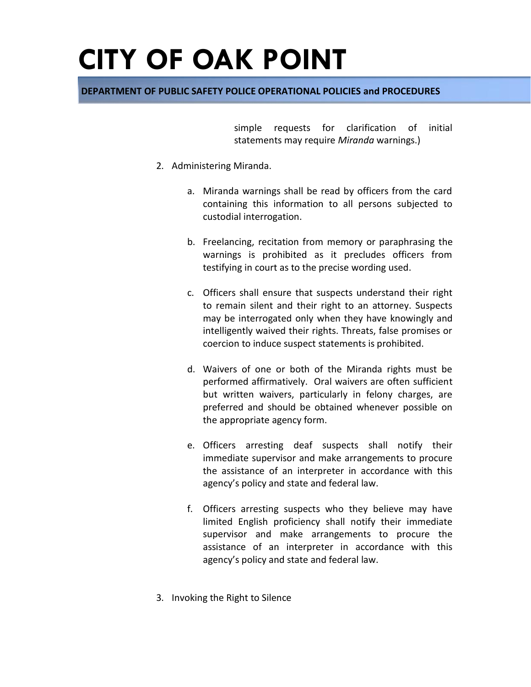#### **DEPARTMENT OF PUBLIC SAFETY POLICE OPERATIONAL POLICIES and PROCEDURES**

simple requests for clarification of initial statements may require *Miranda* warnings.)

- 2. Administering Miranda.
	- a. Miranda warnings shall be read by officers from the card containing this information to all persons subjected to custodial interrogation.
	- b. Freelancing, recitation from memory or paraphrasing the warnings is prohibited as it precludes officers from testifying in court as to the precise wording used.
	- c. Officers shall ensure that suspects understand their right to remain silent and their right to an attorney. Suspects may be interrogated only when they have knowingly and intelligently waived their rights. Threats, false promises or coercion to induce suspect statements is prohibited.
	- d. Waivers of one or both of the Miranda rights must be performed affirmatively. Oral waivers are often sufficient but written waivers, particularly in felony charges, are preferred and should be obtained whenever possible on the appropriate agency form.
	- e. Officers arresting deaf suspects shall notify their immediate supervisor and make arrangements to procure the assistance of an interpreter in accordance with this agency's policy and state and federal law.
	- f. Officers arresting suspects who they believe may have limited English proficiency shall notify their immediate supervisor and make arrangements to procure the assistance of an interpreter in accordance with this agency's policy and state and federal law.
- 3. Invoking the Right to Silence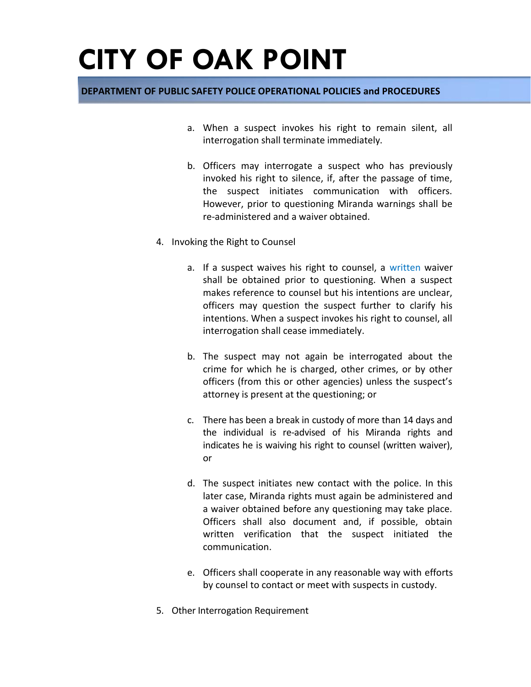- a. When a suspect invokes his right to remain silent, all interrogation shall terminate immediately.
- b. Officers may interrogate a suspect who has previously invoked his right to silence, if, after the passage of time, the suspect initiates communication with officers. However, prior to questioning Miranda warnings shall be re-administered and a waiver obtained.
- 4. Invoking the Right to Counsel
	- a. If a suspect waives his right to counsel, a written waiver shall be obtained prior to questioning. When a suspect makes reference to counsel but his intentions are unclear, officers may question the suspect further to clarify his intentions. When a suspect invokes his right to counsel, all interrogation shall cease immediately.
	- b. The suspect may not again be interrogated about the crime for which he is charged, other crimes, or by other officers (from this or other agencies) unless the suspect's attorney is present at the questioning; or
	- c. There has been a break in custody of more than 14 days and the individual is re-advised of his Miranda rights and indicates he is waiving his right to counsel (written waiver), or
	- d. The suspect initiates new contact with the police. In this later case, Miranda rights must again be administered and a waiver obtained before any questioning may take place. Officers shall also document and, if possible, obtain written verification that the suspect initiated the communication.
	- e. Officers shall cooperate in any reasonable way with efforts by counsel to contact or meet with suspects in custody.
- 5. Other Interrogation Requirement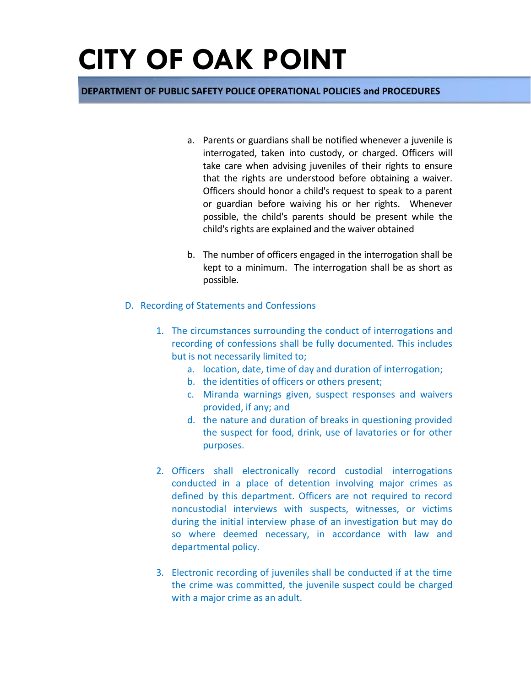- a. Parents or guardians shall be notified whenever a juvenile is interrogated, taken into custody, or charged. Officers will take care when advising juveniles of their rights to ensure that the rights are understood before obtaining a waiver. Officers should honor a child's request to speak to a parent or guardian before waiving his or her rights. Whenever possible, the child's parents should be present while the child's rights are explained and the waiver obtained
- b. The number of officers engaged in the interrogation shall be kept to a minimum. The interrogation shall be as short as possible.
- D. Recording of Statements and Confessions
	- 1. The circumstances surrounding the conduct of interrogations and recording of confessions shall be fully documented. This includes but is not necessarily limited to;
		- a. location, date, time of day and duration of interrogation;
		- b. the identities of officers or others present;
		- c. Miranda warnings given, suspect responses and waivers provided, if any; and
		- d. the nature and duration of breaks in questioning provided the suspect for food, drink, use of lavatories or for other purposes.
	- 2. Officers shall electronically record custodial interrogations conducted in a place of detention involving major crimes as defined by this department. Officers are not required to record noncustodial interviews with suspects, witnesses, or victims during the initial interview phase of an investigation but may do so where deemed necessary, in accordance with law and departmental policy.
	- 3. Electronic recording of juveniles shall be conducted if at the time the crime was committed, the juvenile suspect could be charged with a major crime as an adult.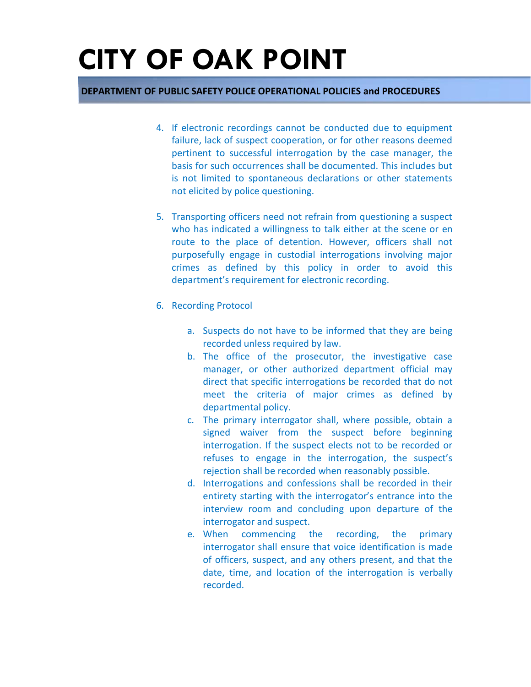- 4. If electronic recordings cannot be conducted due to equipment failure, lack of suspect cooperation, or for other reasons deemed pertinent to successful interrogation by the case manager, the basis for such occurrences shall be documented. This includes but is not limited to spontaneous declarations or other statements not elicited by police questioning.
- 5. Transporting officers need not refrain from questioning a suspect who has indicated a willingness to talk either at the scene or en route to the place of detention. However, officers shall not purposefully engage in custodial interrogations involving major crimes as defined by this policy in order to avoid this department's requirement for electronic recording.
- 6. Recording Protocol
	- a. Suspects do not have to be informed that they are being recorded unless required by law.
	- b. The office of the prosecutor, the investigative case manager, or other authorized department official may direct that specific interrogations be recorded that do not meet the criteria of major crimes as defined by departmental policy.
	- c. The primary interrogator shall, where possible, obtain a signed waiver from the suspect before beginning interrogation. If the suspect elects not to be recorded or refuses to engage in the interrogation, the suspect's rejection shall be recorded when reasonably possible.
	- d. Interrogations and confessions shall be recorded in their entirety starting with the interrogator's entrance into the interview room and concluding upon departure of the interrogator and suspect.
	- e. When commencing the recording, the primary interrogator shall ensure that voice identification is made of officers, suspect, and any others present, and that the date, time, and location of the interrogation is verbally recorded.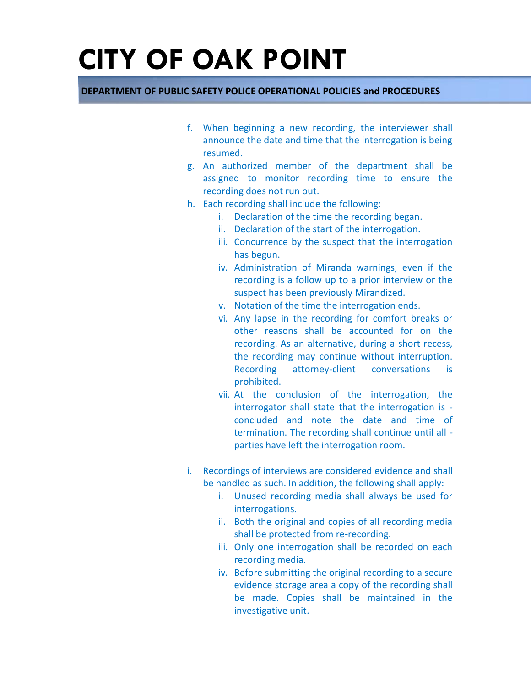- f. When beginning a new recording, the interviewer shall announce the date and time that the interrogation is being resumed.
- g. An authorized member of the department shall be assigned to monitor recording time to ensure the recording does not run out.
- h. Each recording shall include the following:
	- i. Declaration of the time the recording began.
	- ii. Declaration of the start of the interrogation.
	- iii. Concurrence by the suspect that the interrogation has begun.
	- iv. Administration of Miranda warnings, even if the recording is a follow up to a prior interview or the suspect has been previously Mirandized.
	- v. Notation of the time the interrogation ends.
	- vi. Any lapse in the recording for comfort breaks or other reasons shall be accounted for on the recording. As an alternative, during a short recess, the recording may continue without interruption. Recording attorney-client conversations is prohibited.
	- vii. At the conclusion of the interrogation, the interrogator shall state that the interrogation is concluded and note the date and time of termination. The recording shall continue until all parties have left the interrogation room.
- i. Recordings of interviews are considered evidence and shall be handled as such. In addition, the following shall apply:
	- i. Unused recording media shall always be used for interrogations.
	- ii. Both the original and copies of all recording media shall be protected from re-recording.
	- iii. Only one interrogation shall be recorded on each recording media.
	- iv. Before submitting the original recording to a secure evidence storage area a copy of the recording shall be made. Copies shall be maintained in the investigative unit.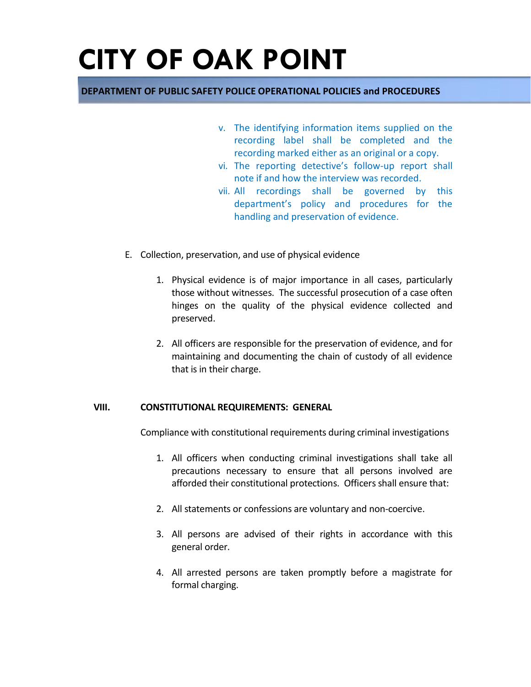#### **DEPARTMENT OF PUBLIC SAFETY POLICE OPERATIONAL POLICIES and PROCEDURES**

- v. The identifying information items supplied on the recording label shall be completed and the recording marked either as an original or a copy.
- vi. The reporting detective's follow-up report shall note if and how the interview was recorded.
- vii. All recordings shall be governed by this department's policy and procedures for the handling and preservation of evidence.
- E. Collection, preservation, and use of physical evidence
	- 1. Physical evidence is of major importance in all cases, particularly those without witnesses. The successful prosecution of a case often hinges on the quality of the physical evidence collected and preserved.
	- 2. All officers are responsible for the preservation of evidence, and for maintaining and documenting the chain of custody of all evidence that is in their charge.

#### **VIII. CONSTITUTIONAL REQUIREMENTS: GENERAL**

Compliance with constitutional requirements during criminal investigations

- 1. All officers when conducting criminal investigations shall take all precautions necessary to ensure that all persons involved are afforded their constitutional protections. Officers shall ensure that:
- 2. All statements or confessions are voluntary and non-coercive.
- 3. All persons are advised of their rights in accordance with this general order.
- 4. All arrested persons are taken promptly before a magistrate for formal charging.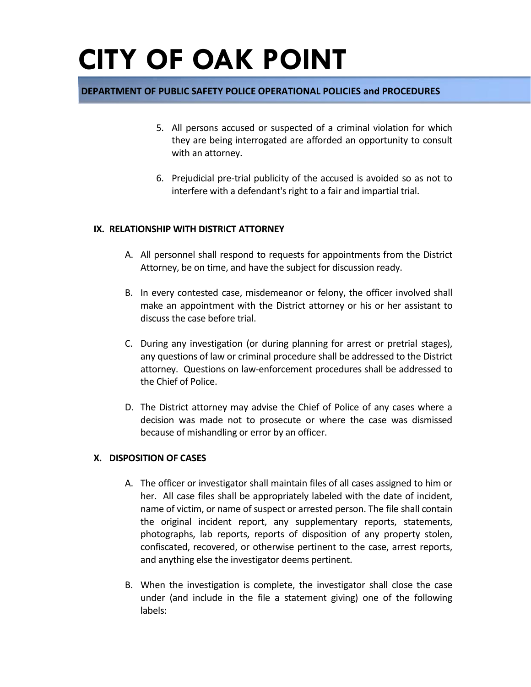#### **DEPARTMENT OF PUBLIC SAFETY POLICE OPERATIONAL POLICIES and PROCEDURES**

- 5. All persons accused or suspected of a criminal violation for which they are being interrogated are afforded an opportunity to consult with an attorney.
- 6. Prejudicial pre-trial publicity of the accused is avoided so as not to interfere with a defendant's right to a fair and impartial trial.

#### **IX. RELATIONSHIP WITH DISTRICT ATTORNEY**

- A. All personnel shall respond to requests for appointments from the District Attorney, be on time, and have the subject for discussion ready.
- B. In every contested case, misdemeanor or felony, the officer involved shall make an appointment with the District attorney or his or her assistant to discuss the case before trial.
- C. During any investigation (or during planning for arrest or pretrial stages), any questions of law or criminal procedure shall be addressed to the District attorney. Questions on law-enforcement procedures shall be addressed to the Chief of Police.
- D. The District attorney may advise the Chief of Police of any cases where a decision was made not to prosecute or where the case was dismissed because of mishandling or error by an officer.

#### **X. DISPOSITION OF CASES**

- A. The officer or investigator shall maintain files of all cases assigned to him or her. All case files shall be appropriately labeled with the date of incident, name of victim, or name of suspect or arrested person. The file shall contain the original incident report, any supplementary reports, statements, photographs, lab reports, reports of disposition of any property stolen, confiscated, recovered, or otherwise pertinent to the case, arrest reports, and anything else the investigator deems pertinent.
- B. When the investigation is complete, the investigator shall close the case under (and include in the file a statement giving) one of the following labels: